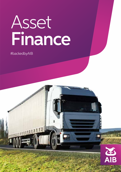# Asset Finance

#backedbyAIB

*<u>INVALUATE</u>* 

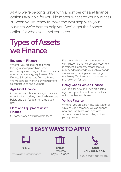At AIB we're backing brave with a number of asset finance options available for you. No matter what size your business is, when you're ready to make the next step with your business we're here to help you. We've got the finance option for whatever asset you need.

# Types of Assets we Finance

#### Equipment Finance

Whether you are looking to finance tooling, a sewing machine, servers, medical equipment, agricultural machinery or renewable energy equipment, AIB Finance & Leasing have finance for you. We will consider financing any equipment so contact us to find out more.

#### Agri Asset Finance

Customers can choose our agri finance to cover tractors, trailers, combine harvesters, balers and diet feeders, to name but a few.

#### Plant and Equipment Asset Finance

construction plant. Moreover, investment in residential property means that you may need to upgrade your yellow goods, cranes, earthmoving and quarrying machinery. Talk to us about how we can finance them for you.

#### Heavy Goods Vehicle Finance

finance assets such as warehouse or

Available for new and used articulated, rigid and tipper trucks, trailers, container units, coaches and buses.

#### Vehicle Finance

Whether you are a start-up, sole trader, or a big haulage company we can finance new and used cars, vans and other commercial vehicles including 4x4 and pick-up trucks.

### **Phone**: Call **0818 47 47 47 Branch** Drop into any AIB branch **Online**: **3 EASY WAYS TO APPLY** www.aib.ie/assistfinance 8am - 9pm Monday to Friday

Customers often ask us to help them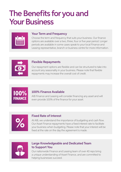## The Benefits for you and Your Business

#### Your Term and Frequency

Choose the term and frequency that suits your business. Our finance options are available over a two, three, four or five year period. Longer periods are available in some cases speak to your local Finance and Leasing representative, branch or business centre for more information.



#### Flexible Repayments

Our repayment options are flexible and can be structured to take into account any seasonality in your business. Please note that flexible repayments may increase the overall cost of credit.



#### 100% Finance Available

AIB Finance and Leasing will consider financing any asset and will even provide 100% of the finance for your asset.



#### Fixed Rate of Interest

At AIB, we understand the importance of budgeting and cash flow. Our Asset Finance repayments have a fixed interest rate to facilitate your business when budgeting. Please note that your interest will be fixed at the rate on the day the agreement is made.



#### Large Knowledgeable and Dedicated Team to Support You

Our nationwide Finance and Leasing team of over 40 reps bring a unique understanding of Asset Finance, and are committed to helping businesses succeed.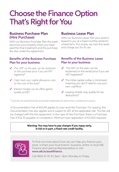# Choose the Finance Option That's Right for You

#### **Business Purchase Plan**  (Hire Purchase)

With our Business Purchase Plan the asset becomes your property when you have paid the final instalment and the purchase fee due under the agreement.

#### Benefits of the Business Purchase Plan for your business

- $\blacktriangleright$  The VAT on this plan can be reclaimed on the purchase price if you are VAT registered\*
- ◆ Claim back your capital allowance costs on the cost of the asset\*
- $\blacktriangleright$  Interest charges can be offset against taxable profits\*

### **Business Lease Plan**

With our Business Lease Plan your asset is leased to you at a fixed monthly rental for a fixed term. Put simply, we own the asset and charge you for its use.

#### Benefits of the Business Lease Plan to your business

- $\blacktriangleright$  The VAT on this plan can be reclaimed on the rental price if you are VAT registered\*
- $\checkmark$  The initial capital outlay is minimised, meaning you don't need to use your own cashflow
- $\checkmark$  Leasing rentals may qualify for tax deductions\*

\*Customers are advised that they should seek independent tax advice when considering this product.

A Documentation Fee of €63.49 applies to Loan and Hire Purchase. For Leasing, this Documentation Fee also applies and is subject to VAT at the applicable rate. This fee will be charged with the first repayment. In the case of Hire Purchase, there is a Purchase Fee of €12.70 payable on completion. Minimum loan application of €5,000 required.

#### **Warning: You may have to pay charges if you repay early, in full or in part, a fixed-rate credit facility.**



To find out more about how we can help you finance your asset, contact your local branch, business centre or local AIB Finance and Leasing Representative or visit www.aib.ie/assetfinance.

Call 0818 47 47 47, 8am - 9pm Monday to Friday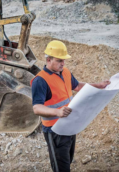